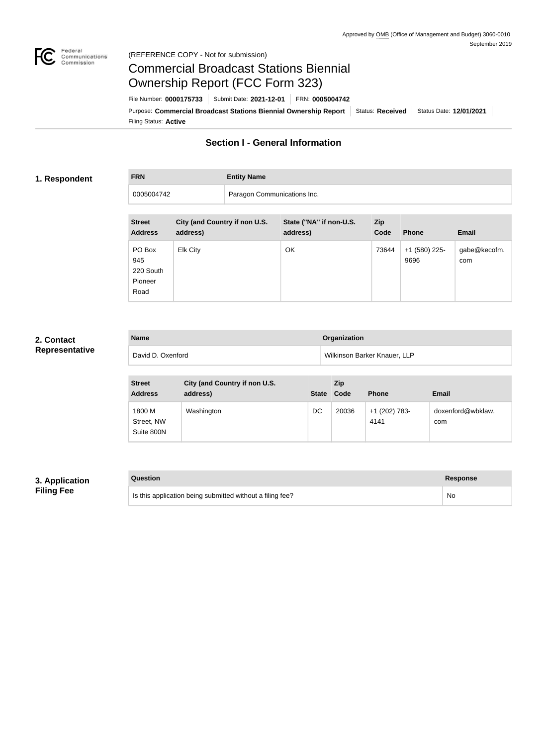

# Commercial Broadcast Stations Biennial Ownership Report (FCC Form 323)

Filing Status: **Active** Purpose: Commercial Broadcast Stations Biennial Ownership Report Status: Received Status Date: 12/01/2021 File Number: **0000175733** Submit Date: **2021-12-01** FRN: **0005004742**

## **Section I - General Information**

#### **1. Respondent**

**FRN Entity Name**

0005004742 Paragon Communications Inc.

| <b>Street</b><br><b>Address</b>               | City (and Country if non U.S.<br>address) | State ("NA" if non-U.S.<br>address) | Zip<br>Code | <b>Phone</b>          | <b>Email</b>        |
|-----------------------------------------------|-------------------------------------------|-------------------------------------|-------------|-----------------------|---------------------|
| PO Box<br>945<br>220 South<br>Pioneer<br>Road | <b>Elk City</b>                           | OK                                  | 73644       | +1 (580) 225-<br>9696 | gabe@kecofm.<br>com |

#### **2. Contact Representative**

| <b>Name</b>       | <b>Organization</b>                 |
|-------------------|-------------------------------------|
| David D. Oxenford | <b>Wilkinson Barker Knauer, LLP</b> |

| <b>Street</b><br><b>Address</b>    | City (and Country if non U.S.<br>address) | <b>State</b> | Zip<br>Code | <b>Phone</b>          | <b>Email</b>             |
|------------------------------------|-------------------------------------------|--------------|-------------|-----------------------|--------------------------|
| 1800 M<br>Street, NW<br>Suite 800N | Washington                                | DC           | 20036       | +1 (202) 783-<br>4141 | doxenford@wbklaw.<br>com |

#### **3. Application Filing Fee**

| Question                                                  | <b>Response</b> |
|-----------------------------------------------------------|-----------------|
| Is this application being submitted without a filing fee? | No.             |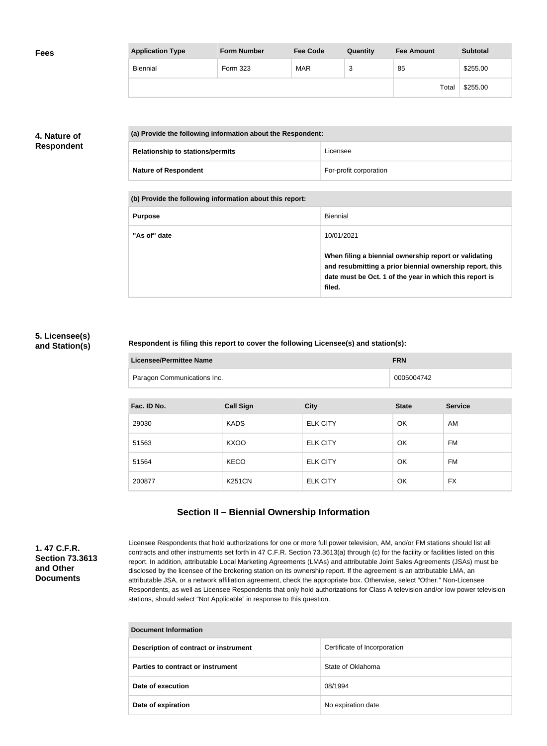| <b>Fees</b> | <b>Application Type</b> | <b>Form Number</b> | <b>Fee Code</b> | Quantity | <b>Fee Amount</b> | <b>Subtotal</b> |
|-------------|-------------------------|--------------------|-----------------|----------|-------------------|-----------------|
|             | Biennial                | Form 323           | <b>MAR</b>      | ົ<br>د   | 85                | \$255.00        |
|             |                         |                    |                 |          | Total             | \$255.00        |

### **4. Nature of Respondent**

|  | (a) Provide the following information about the Respondent: |                        |  |
|--|-------------------------------------------------------------|------------------------|--|
|  | <b>Relationship to stations/permits</b>                     | Licensee               |  |
|  | <b>Nature of Respondent</b>                                 | For-profit corporation |  |

**(b) Provide the following information about this report:**

| <b>Purpose</b> | Biennial                                                                                                                                                                               |
|----------------|----------------------------------------------------------------------------------------------------------------------------------------------------------------------------------------|
| "As of" date   | 10/01/2021                                                                                                                                                                             |
|                | When filing a biennial ownership report or validating<br>and resubmitting a prior biennial ownership report, this<br>date must be Oct. 1 of the year in which this report is<br>filed. |

#### **5. Licensee(s) and Station(s)**

#### **Respondent is filing this report to cover the following Licensee(s) and station(s):**

| Licensee/Permittee Name     | <b>FRN</b> |
|-----------------------------|------------|
| Paragon Communications Inc. | 0005004742 |

| Fac. ID No. | <b>Call Sign</b> | <b>City</b>     | <b>State</b> | <b>Service</b> |
|-------------|------------------|-----------------|--------------|----------------|
| 29030       | <b>KADS</b>      | <b>ELK CITY</b> | OK           | AM             |
| 51563       | <b>KXOO</b>      | <b>ELK CITY</b> | OK           | FM             |
| 51564       | <b>KECO</b>      | <b>ELK CITY</b> | OK           | FM             |
| 200877      | <b>K251CN</b>    | <b>ELK CITY</b> | OK           | <b>FX</b>      |

## **Section II – Biennial Ownership Information**

**1. 47 C.F.R. Section 73.3613 and Other Documents**

Licensee Respondents that hold authorizations for one or more full power television, AM, and/or FM stations should list all contracts and other instruments set forth in 47 C.F.R. Section 73.3613(a) through (c) for the facility or facilities listed on this report. In addition, attributable Local Marketing Agreements (LMAs) and attributable Joint Sales Agreements (JSAs) must be disclosed by the licensee of the brokering station on its ownership report. If the agreement is an attributable LMA, an attributable JSA, or a network affiliation agreement, check the appropriate box. Otherwise, select "Other." Non-Licensee Respondents, as well as Licensee Respondents that only hold authorizations for Class A television and/or low power television stations, should select "Not Applicable" in response to this question.

| Document Information                  |                              |  |  |  |
|---------------------------------------|------------------------------|--|--|--|
| Description of contract or instrument | Certificate of Incorporation |  |  |  |
| Parties to contract or instrument     | State of Oklahoma            |  |  |  |
| Date of execution                     | 08/1994                      |  |  |  |
| Date of expiration                    | No expiration date           |  |  |  |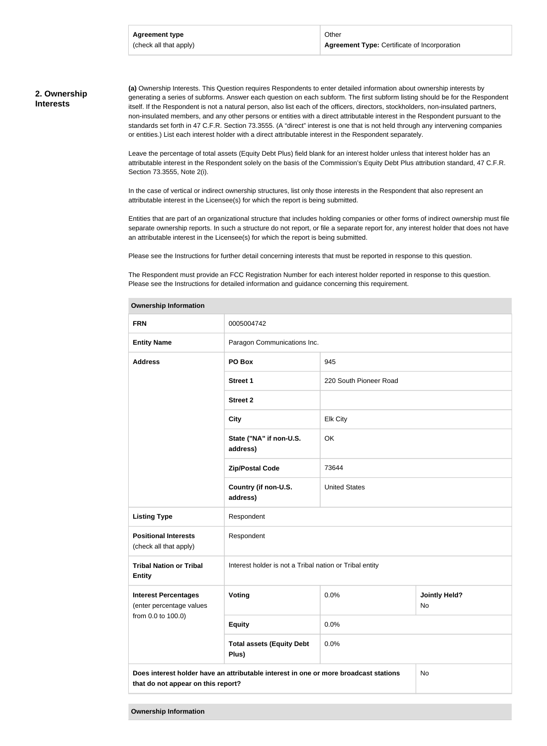#### **2. Ownership Interests**

**(a)** Ownership Interests. This Question requires Respondents to enter detailed information about ownership interests by generating a series of subforms. Answer each question on each subform. The first subform listing should be for the Respondent itself. If the Respondent is not a natural person, also list each of the officers, directors, stockholders, non-insulated partners, non-insulated members, and any other persons or entities with a direct attributable interest in the Respondent pursuant to the standards set forth in 47 C.F.R. Section 73.3555. (A "direct" interest is one that is not held through any intervening companies or entities.) List each interest holder with a direct attributable interest in the Respondent separately.

Leave the percentage of total assets (Equity Debt Plus) field blank for an interest holder unless that interest holder has an attributable interest in the Respondent solely on the basis of the Commission's Equity Debt Plus attribution standard, 47 C.F.R. Section 73.3555, Note 2(i).

In the case of vertical or indirect ownership structures, list only those interests in the Respondent that also represent an attributable interest in the Licensee(s) for which the report is being submitted.

Entities that are part of an organizational structure that includes holding companies or other forms of indirect ownership must file separate ownership reports. In such a structure do not report, or file a separate report for, any interest holder that does not have an attributable interest in the Licensee(s) for which the report is being submitted.

Please see the Instructions for further detail concerning interests that must be reported in response to this question.

The Respondent must provide an FCC Registration Number for each interest holder reported in response to this question. Please see the Instructions for detailed information and guidance concerning this requirement.

| <b>FRN</b>                                                                                                                       | 0005004742                                              |                        |                            |  |
|----------------------------------------------------------------------------------------------------------------------------------|---------------------------------------------------------|------------------------|----------------------------|--|
| <b>Entity Name</b>                                                                                                               | Paragon Communications Inc.                             |                        |                            |  |
| <b>Address</b>                                                                                                                   | PO Box                                                  | 945                    |                            |  |
|                                                                                                                                  | <b>Street 1</b>                                         | 220 South Pioneer Road |                            |  |
|                                                                                                                                  | <b>Street 2</b>                                         |                        |                            |  |
|                                                                                                                                  | <b>City</b>                                             | <b>Elk City</b>        |                            |  |
|                                                                                                                                  | State ("NA" if non-U.S.<br>address)                     | OK                     |                            |  |
|                                                                                                                                  | <b>Zip/Postal Code</b>                                  | 73644                  |                            |  |
|                                                                                                                                  | Country (if non-U.S.<br>address)                        | <b>United States</b>   |                            |  |
| <b>Listing Type</b>                                                                                                              | Respondent                                              |                        |                            |  |
| <b>Positional Interests</b><br>(check all that apply)                                                                            | Respondent                                              |                        |                            |  |
| <b>Tribal Nation or Tribal</b><br><b>Entity</b>                                                                                  | Interest holder is not a Tribal nation or Tribal entity |                        |                            |  |
| <b>Interest Percentages</b><br>(enter percentage values                                                                          | Voting                                                  | 0.0%                   | <b>Jointly Held?</b><br>No |  |
| from 0.0 to 100.0)                                                                                                               | <b>Equity</b>                                           | 0.0%                   |                            |  |
|                                                                                                                                  | <b>Total assets (Equity Debt</b><br>Plus)               | 0.0%                   |                            |  |
| Does interest holder have an attributable interest in one or more broadcast stations<br>No<br>that do not appear on this report? |                                                         |                        |                            |  |
|                                                                                                                                  |                                                         |                        |                            |  |

#### **Ownership Information**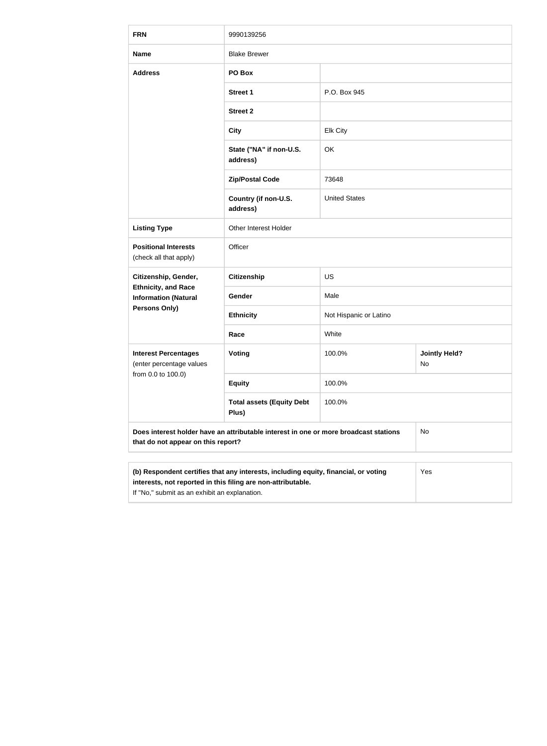| <b>FRN</b>                                                                                                                 | 9990139256                                                                                                                                                                                                  |                        |                            |  |  |
|----------------------------------------------------------------------------------------------------------------------------|-------------------------------------------------------------------------------------------------------------------------------------------------------------------------------------------------------------|------------------------|----------------------------|--|--|
| <b>Name</b>                                                                                                                | <b>Blake Brewer</b>                                                                                                                                                                                         |                        |                            |  |  |
| <b>Address</b>                                                                                                             | PO Box                                                                                                                                                                                                      |                        |                            |  |  |
|                                                                                                                            | <b>Street 1</b>                                                                                                                                                                                             | P.O. Box 945           |                            |  |  |
|                                                                                                                            | <b>Street 2</b>                                                                                                                                                                                             |                        |                            |  |  |
|                                                                                                                            | <b>City</b>                                                                                                                                                                                                 | <b>Elk City</b>        |                            |  |  |
|                                                                                                                            | State ("NA" if non-U.S.<br>address)                                                                                                                                                                         | <b>OK</b>              |                            |  |  |
|                                                                                                                            | <b>Zip/Postal Code</b>                                                                                                                                                                                      | 73648                  |                            |  |  |
|                                                                                                                            | Country (if non-U.S.<br>address)                                                                                                                                                                            | <b>United States</b>   |                            |  |  |
| <b>Listing Type</b>                                                                                                        | Other Interest Holder                                                                                                                                                                                       |                        |                            |  |  |
| <b>Positional Interests</b><br>(check all that apply)                                                                      | Officer                                                                                                                                                                                                     |                        |                            |  |  |
| Citizenship, Gender,                                                                                                       | <b>Citizenship</b>                                                                                                                                                                                          | <b>US</b>              |                            |  |  |
| <b>Ethnicity, and Race</b><br><b>Information (Natural</b>                                                                  | Gender                                                                                                                                                                                                      | Male                   |                            |  |  |
| <b>Persons Only)</b>                                                                                                       | <b>Ethnicity</b>                                                                                                                                                                                            | Not Hispanic or Latino |                            |  |  |
|                                                                                                                            | Race                                                                                                                                                                                                        | White                  |                            |  |  |
| <b>Interest Percentages</b><br>(enter percentage values                                                                    | Voting                                                                                                                                                                                                      | 100.0%                 | <b>Jointly Held?</b><br>No |  |  |
| from 0.0 to 100.0)                                                                                                         | <b>Equity</b>                                                                                                                                                                                               | 100.0%                 |                            |  |  |
| <b>Total assets (Equity Debt</b><br>100.0%<br>Plus)                                                                        |                                                                                                                                                                                                             |                        |                            |  |  |
| Does interest holder have an attributable interest in one or more broadcast stations<br>that do not appear on this report? |                                                                                                                                                                                                             |                        | No                         |  |  |
|                                                                                                                            |                                                                                                                                                                                                             |                        |                            |  |  |
|                                                                                                                            | (b) Respondent certifies that any interests, including equity, financial, or voting<br>Yes<br>interests, not reported in this filing are non-attributable.<br>If "No," submit as an exhibit an explanation. |                        |                            |  |  |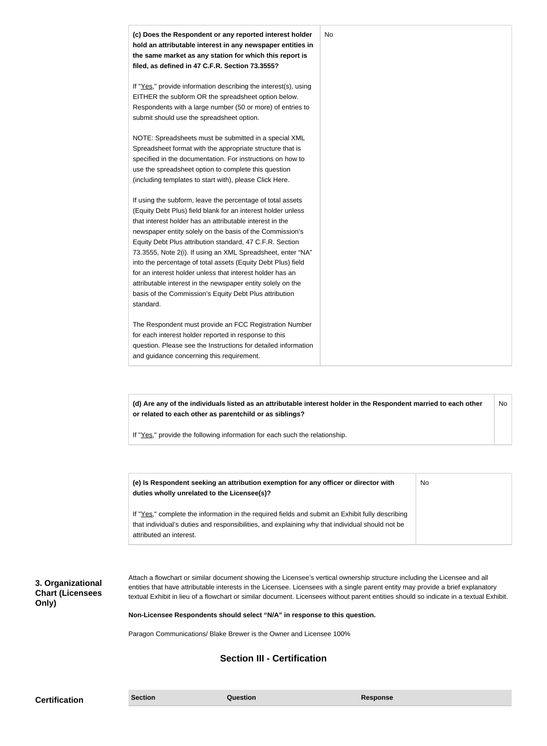| (c) Does the Respondent or any reported interest holder<br>hold an attributable interest in any newspaper entities in<br>the same market as any station for which this report is<br>filed, as defined in 47 C.F.R. Section 73.3555?                                                                                                                                                                                                                                                                                                                                                                                                              | <b>No</b> |
|--------------------------------------------------------------------------------------------------------------------------------------------------------------------------------------------------------------------------------------------------------------------------------------------------------------------------------------------------------------------------------------------------------------------------------------------------------------------------------------------------------------------------------------------------------------------------------------------------------------------------------------------------|-----------|
| If "Yes," provide information describing the interest(s), using<br>EITHER the subform OR the spreadsheet option below.<br>Respondents with a large number (50 or more) of entries to<br>submit should use the spreadsheet option.                                                                                                                                                                                                                                                                                                                                                                                                                |           |
| NOTE: Spreadsheets must be submitted in a special XML<br>Spreadsheet format with the appropriate structure that is<br>specified in the documentation. For instructions on how to<br>use the spreadsheet option to complete this question<br>(including templates to start with), please Click Here.                                                                                                                                                                                                                                                                                                                                              |           |
| If using the subform, leave the percentage of total assets<br>(Equity Debt Plus) field blank for an interest holder unless<br>that interest holder has an attributable interest in the<br>newspaper entity solely on the basis of the Commission's<br>Equity Debt Plus attribution standard, 47 C.F.R. Section<br>73.3555, Note 2(i). If using an XML Spreadsheet, enter "NA"<br>into the percentage of total assets (Equity Debt Plus) field<br>for an interest holder unless that interest holder has an<br>attributable interest in the newspaper entity solely on the<br>basis of the Commission's Equity Debt Plus attribution<br>standard. |           |
| The Respondent must provide an FCC Registration Number<br>for each interest holder reported in response to this<br>question. Please see the Instructions for detailed information<br>and guidance concerning this requirement.                                                                                                                                                                                                                                                                                                                                                                                                                   |           |

**(d) Are any of the individuals listed as an attributable interest holder in the Respondent married to each other or related to each other as parentchild or as siblings?** No

If "Yes," provide the following information for each such the relationship.

| (e) Is Respondent seeking an attribution exemption for any officer or director with<br>duties wholly unrelated to the Licensee(s)?                                                                                             | No |
|--------------------------------------------------------------------------------------------------------------------------------------------------------------------------------------------------------------------------------|----|
| If "Yes," complete the information in the required fields and submit an Exhibit fully describing<br>that individual's duties and responsibilities, and explaining why that individual should not be<br>attributed an interest. |    |

**3. Organizational Chart (Licensees Only)**

Attach a flowchart or similar document showing the Licensee's vertical ownership structure including the Licensee and all entities that have attributable interests in the Licensee. Licensees with a single parent entity may provide a brief explanatory textual Exhibit in lieu of a flowchart or similar document. Licensees without parent entities should so indicate in a textual Exhibit.

**Non-Licensee Respondents should select "N/A" in response to this question.**

Paragon Communications/ Blake Brewer is the Owner and Licensee 100%

## **Section III - Certification**

**Certification Section Section Question** *Question* **Response**